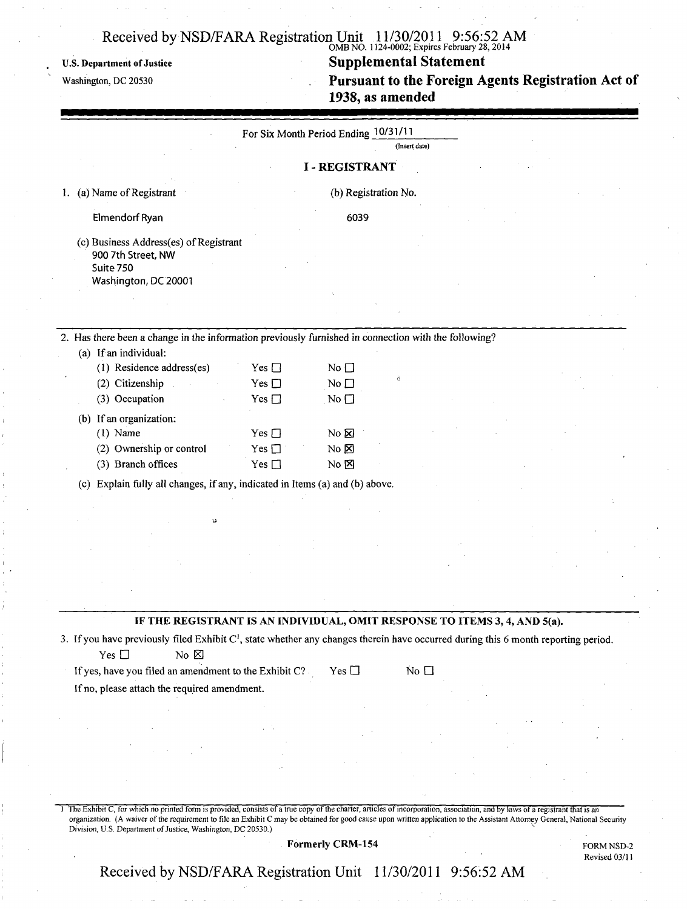U.S. Department of Justice

Washington, DC 20530

#### $O(MB \text{ NO. } 1124\text{-V002}, \text{Eappits}$  February 28, 2014 Supplemental Statement

Pursuant to the Foreign Agents Registration Act of 1938, as amended

|                                                                                                                                                |               | For Six Month Period Ending 10/31/11 |                         |  |  |
|------------------------------------------------------------------------------------------------------------------------------------------------|---------------|--------------------------------------|-------------------------|--|--|
|                                                                                                                                                |               |                                      | (Insert date)           |  |  |
|                                                                                                                                                |               | <b>I-REGISTRANT</b>                  |                         |  |  |
| (a) Name of Registrant<br>Ł.                                                                                                                   |               |                                      | (b) Registration No.    |  |  |
| Elmendorf Ryan                                                                                                                                 |               | 6039                                 |                         |  |  |
|                                                                                                                                                |               |                                      |                         |  |  |
| (c) Business Address(es) of Registrant<br>900 7th Street, NW                                                                                   |               |                                      |                         |  |  |
| Suite 750                                                                                                                                      |               |                                      |                         |  |  |
| Washington, DC 20001                                                                                                                           |               |                                      |                         |  |  |
|                                                                                                                                                |               |                                      |                         |  |  |
|                                                                                                                                                |               |                                      |                         |  |  |
| 2. Has there been a change in the information previously furnished in connection with the following?                                           |               |                                      |                         |  |  |
| (a) If an individual:                                                                                                                          |               |                                      |                         |  |  |
| (1) Residence address(es)                                                                                                                      | Yes $\Box$    | No $\Box$                            |                         |  |  |
| (2) Citizenship                                                                                                                                | Yes $\square$ | No $\square$                         | Ò                       |  |  |
| (3) Occupation                                                                                                                                 | Yes $\square$ | No $\square$                         |                         |  |  |
| (b) If an organization:                                                                                                                        |               |                                      |                         |  |  |
| $(1)$ Name                                                                                                                                     | $Yes \Box$    | No &                                 |                         |  |  |
| (2) Ownership or control                                                                                                                       | Yes $\square$ | $No \cancel{\boxtimes}$              |                         |  |  |
| (3) Branch offices                                                                                                                             | Yes $\square$ | $No \boxtimes$                       |                         |  |  |
| (c) Explain fully all changes, if any, indicated in Items (a) and (b) above.                                                                   |               |                                      |                         |  |  |
|                                                                                                                                                |               |                                      |                         |  |  |
|                                                                                                                                                |               |                                      |                         |  |  |
|                                                                                                                                                |               |                                      |                         |  |  |
|                                                                                                                                                |               |                                      |                         |  |  |
|                                                                                                                                                |               |                                      |                         |  |  |
|                                                                                                                                                |               |                                      |                         |  |  |
|                                                                                                                                                |               |                                      |                         |  |  |
|                                                                                                                                                |               |                                      |                         |  |  |
| IF THE REGISTRANT IS AN INDIVIDUAL, OMIT RESPONSE TO ITEMS 3, 4, AND 5(a).                                                                     |               |                                      |                         |  |  |
| 3. If you have previously filed Exhibit C <sup>1</sup> , state whether any changes therein have occurred during this 6 month reporting period. |               |                                      |                         |  |  |
| Yes $\square$<br>$No \boxtimes$                                                                                                                |               |                                      |                         |  |  |
| If yes, have you filed an amendment to the Exhibit C?                                                                                          |               | Yes $\Box$                           | $\overline{N}$ o $\Box$ |  |  |
|                                                                                                                                                |               |                                      |                         |  |  |
| If no, please attach the required amendment.                                                                                                   |               |                                      |                         |  |  |
|                                                                                                                                                |               |                                      |                         |  |  |
|                                                                                                                                                |               |                                      |                         |  |  |
|                                                                                                                                                |               |                                      |                         |  |  |
|                                                                                                                                                |               |                                      |                         |  |  |
|                                                                                                                                                |               |                                      |                         |  |  |
|                                                                                                                                                |               |                                      |                         |  |  |
|                                                                                                                                                |               |                                      |                         |  |  |

Formerly CRM-154

FORM NSD-2 Revised 03/11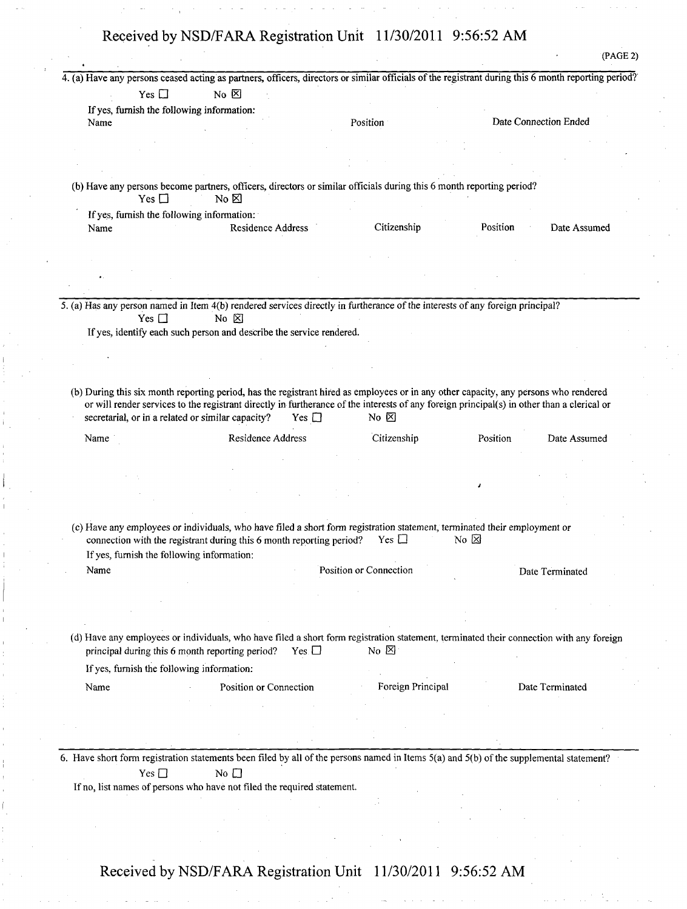(b) Have any persons become partners, officers, directors or similar officials during this 6 month reporting period?  $Yes \Box$  No  $\boxtimes$ 

If yes, furnish the following information: Name Residence Address Citizenship Position Date Assumed

Yes  $\Box$  No  $\boxtimes$ 

If yes, furnish the following information:

(PAGE 2)

5. (a) Has any person named in Item 4(b) rendered services directly in furtherance of the interests of any foreign principal?<br>Yes  $\Box$  No  $\boxtimes$ Yes  $\Box$ 

If yes, identify each such person and describe the service rendered.

(b) During this six month reporting period, has the registrant hired as employees or in any other capacity, any persons who rendered or will render services to the registrant directly in furtherance of the interests of any foreign principal(s) in other than a clerical or secretarial, or in a related or similar capacity? Yes  $\square$  No  $\boxtimes$ 

| Name | Residence Address | Citizenship | Position | Date Assumed |
|------|-------------------|-------------|----------|--------------|
|      |                   |             |          |              |
|      |                   |             |          |              |
|      | $\sim$<br>$\sim$  |             |          |              |

(c) Have any employees or individuals, who have filed a short form registration statement, terminated their employment or connection with the registrant during this 6 month reporting period? Yes  $\Box$  No  $\boxtimes$ connection with the registrant during this 6 month reporting period? If yes, furnish the following information:

Name **Name** Position or Connection Date Terminated

(d) Have any employees or individuals, who have filed a short form registration statement, terminated their connection with any foreign principal during this 6 month reporting period? Yes  $\Box$  No  $\boxtimes$ 

If yes, furnish the following information:

Name Position or Connection Foreign Principal Date Terminated

6. Have short form registration statements been filed by all of the persons named in Items 5(a) and 5(b) of the supplemental statement?  $Yes \Box$  No  $\Box$ 

If no, list names of persons who have not filed the required statement.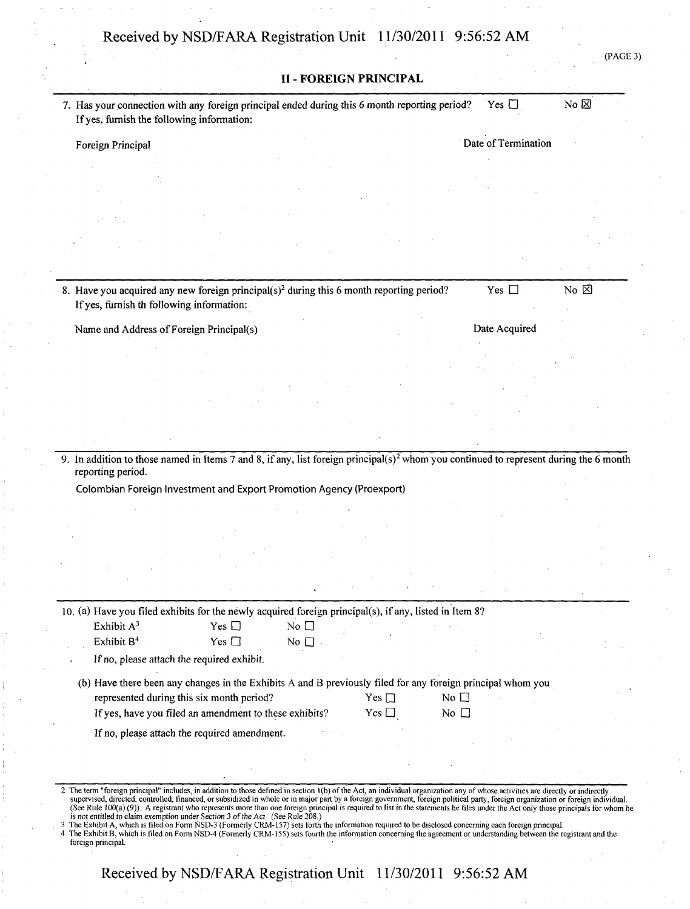(PAGE 3)

|                                                                                                                                                                                                                                                                                                                                                                                                                                                                                                                                                                                                                                             |                                                                                                     | <b>II - FOREIGN PRINCIPAL</b> |                          |                              |                |
|---------------------------------------------------------------------------------------------------------------------------------------------------------------------------------------------------------------------------------------------------------------------------------------------------------------------------------------------------------------------------------------------------------------------------------------------------------------------------------------------------------------------------------------------------------------------------------------------------------------------------------------------|-----------------------------------------------------------------------------------------------------|-------------------------------|--------------------------|------------------------------|----------------|
| 7. Has your connection with any foreign principal ended during this 6 month reporting period?<br>If yes, furnish the following information:                                                                                                                                                                                                                                                                                                                                                                                                                                                                                                 |                                                                                                     |                               |                          | Yes $\Box$                   | No $\boxtimes$ |
| Foreign Principal                                                                                                                                                                                                                                                                                                                                                                                                                                                                                                                                                                                                                           |                                                                                                     |                               |                          | Date of Termination          |                |
|                                                                                                                                                                                                                                                                                                                                                                                                                                                                                                                                                                                                                                             |                                                                                                     |                               |                          |                              |                |
|                                                                                                                                                                                                                                                                                                                                                                                                                                                                                                                                                                                                                                             |                                                                                                     |                               |                          |                              |                |
|                                                                                                                                                                                                                                                                                                                                                                                                                                                                                                                                                                                                                                             |                                                                                                     |                               |                          |                              |                |
|                                                                                                                                                                                                                                                                                                                                                                                                                                                                                                                                                                                                                                             |                                                                                                     |                               |                          |                              |                |
|                                                                                                                                                                                                                                                                                                                                                                                                                                                                                                                                                                                                                                             |                                                                                                     |                               |                          |                              |                |
|                                                                                                                                                                                                                                                                                                                                                                                                                                                                                                                                                                                                                                             |                                                                                                     |                               |                          |                              |                |
|                                                                                                                                                                                                                                                                                                                                                                                                                                                                                                                                                                                                                                             |                                                                                                     |                               |                          |                              |                |
|                                                                                                                                                                                                                                                                                                                                                                                                                                                                                                                                                                                                                                             |                                                                                                     |                               |                          |                              |                |
| 8. Have you acquired any new foreign principal( $s$ ) <sup>2</sup> during this 6 month reporting period?<br>If yes, furnish th following information:                                                                                                                                                                                                                                                                                                                                                                                                                                                                                       |                                                                                                     |                               |                          | Yes $\Box$                   | No $\boxtimes$ |
|                                                                                                                                                                                                                                                                                                                                                                                                                                                                                                                                                                                                                                             |                                                                                                     |                               |                          |                              |                |
| Name and Address of Foreign Principal(s)                                                                                                                                                                                                                                                                                                                                                                                                                                                                                                                                                                                                    |                                                                                                     |                               |                          | Date Acquired                |                |
|                                                                                                                                                                                                                                                                                                                                                                                                                                                                                                                                                                                                                                             |                                                                                                     |                               |                          |                              |                |
|                                                                                                                                                                                                                                                                                                                                                                                                                                                                                                                                                                                                                                             |                                                                                                     |                               |                          |                              |                |
|                                                                                                                                                                                                                                                                                                                                                                                                                                                                                                                                                                                                                                             |                                                                                                     |                               |                          |                              |                |
|                                                                                                                                                                                                                                                                                                                                                                                                                                                                                                                                                                                                                                             |                                                                                                     |                               |                          |                              |                |
|                                                                                                                                                                                                                                                                                                                                                                                                                                                                                                                                                                                                                                             |                                                                                                     |                               |                          |                              |                |
|                                                                                                                                                                                                                                                                                                                                                                                                                                                                                                                                                                                                                                             |                                                                                                     |                               |                          |                              |                |
| 9. In addition to those named in Items 7 and 8, if any, list foreign principal( $s$ ) <sup>2</sup> whom you continued to represent during the 6 month<br>reporting period.<br>Colombian Foreign Investment and Export Promotion Agency (Proexport)                                                                                                                                                                                                                                                                                                                                                                                          |                                                                                                     |                               |                          |                              |                |
|                                                                                                                                                                                                                                                                                                                                                                                                                                                                                                                                                                                                                                             |                                                                                                     |                               |                          |                              |                |
|                                                                                                                                                                                                                                                                                                                                                                                                                                                                                                                                                                                                                                             |                                                                                                     |                               |                          |                              |                |
|                                                                                                                                                                                                                                                                                                                                                                                                                                                                                                                                                                                                                                             |                                                                                                     |                               |                          |                              |                |
|                                                                                                                                                                                                                                                                                                                                                                                                                                                                                                                                                                                                                                             |                                                                                                     |                               |                          |                              |                |
|                                                                                                                                                                                                                                                                                                                                                                                                                                                                                                                                                                                                                                             |                                                                                                     |                               |                          |                              |                |
|                                                                                                                                                                                                                                                                                                                                                                                                                                                                                                                                                                                                                                             |                                                                                                     |                               |                          |                              |                |
| 10. (a) Have you filed exhibits for the newly acquired foreign principal(s), if any, listed in Item 8?                                                                                                                                                                                                                                                                                                                                                                                                                                                                                                                                      |                                                                                                     |                               |                          |                              |                |
| Exhibit $A^3$                                                                                                                                                                                                                                                                                                                                                                                                                                                                                                                                                                                                                               | Yes $\Box$                                                                                          | No $\square$                  |                          |                              |                |
| Exhibit B <sup>4</sup>                                                                                                                                                                                                                                                                                                                                                                                                                                                                                                                                                                                                                      | Yes $\square$                                                                                       | No $\Box$ .                   |                          |                              |                |
|                                                                                                                                                                                                                                                                                                                                                                                                                                                                                                                                                                                                                                             | If no, please attach the required exhibit.                                                          |                               |                          |                              |                |
| (b) Have there been any changes in the Exhibits A and B previously filed for any foreign principal whom you                                                                                                                                                                                                                                                                                                                                                                                                                                                                                                                                 | represented during this six month period?<br>If yes, have you filed an amendment to these exhibits? |                               | Yes $\Box$<br>Yes $\Box$ | No $\square$<br>No $\square$ |                |
|                                                                                                                                                                                                                                                                                                                                                                                                                                                                                                                                                                                                                                             | If no, please attach the required amendment.                                                        |                               |                          |                              |                |
|                                                                                                                                                                                                                                                                                                                                                                                                                                                                                                                                                                                                                                             |                                                                                                     |                               |                          |                              |                |
|                                                                                                                                                                                                                                                                                                                                                                                                                                                                                                                                                                                                                                             |                                                                                                     |                               |                          |                              |                |
|                                                                                                                                                                                                                                                                                                                                                                                                                                                                                                                                                                                                                                             |                                                                                                     |                               |                          |                              |                |
| 2 The term "foreign principal" includes, in addition to those defined in section 1(b) of the Act, an individual organization any of whose activities are directly or indirectly<br>supervised, directed, controlled, financed, or subsidized in whole or in major part by a foreign government, foreign political party, foreign organization or foreign individual.<br>(See Rule 100(a) (9)). A registrant who represents more than one foreign principal is required to list in the statements he files under the Act only those principals for whom he<br>is not entitled to claim exemption under Section 3 of the Act. (See Rule 208.) |                                                                                                     |                               |                          |                              |                |
| 3 The Exhibit A, which is filed on Form NSD-3 (Formerly CRM-157) sets forth the information required to be disclosed concerning each foreign principal.<br>4 The Exhibit B, which is filed on Form NSD-4 (Formerly CRM-155) sets fourth the information concerning the agreement or understanding between the registrant and the<br>foreign principal.                                                                                                                                                                                                                                                                                      |                                                                                                     |                               |                          |                              |                |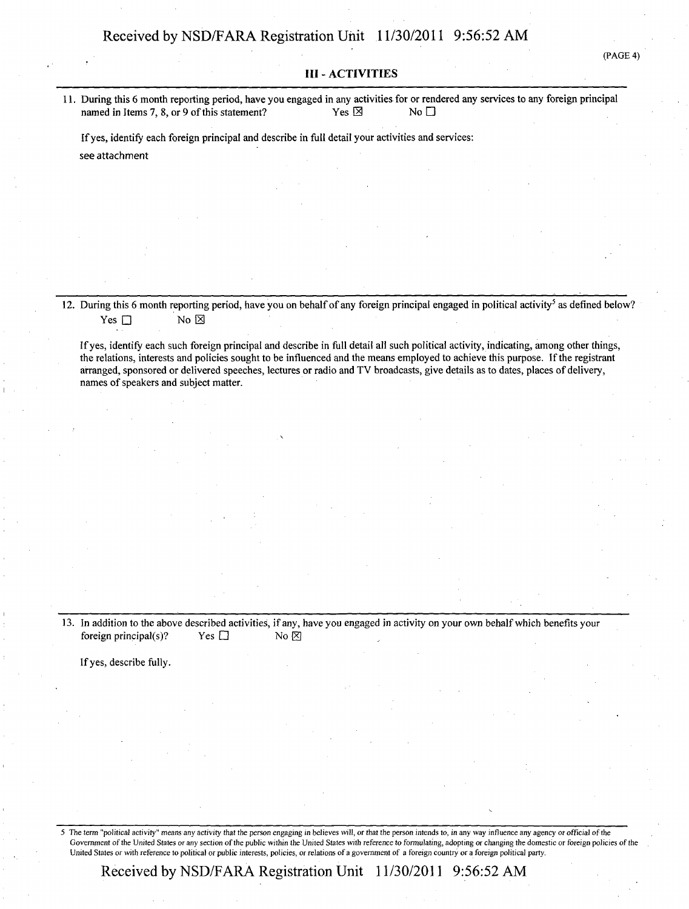#### III - ACTIVITIES

11. During this 6 month reporting period, have you engaged in any activities for or rendered any services to any foreign principal named in Items 7, 8, or 9 of this statement? Yes  $\boxtimes$  Yes  $\boxtimes$  No  $\square$ 

Ifyes, identify each foreign principal and describe in full detail your activities and services: see attachment

12. During this 6 month reporting period, have you on behalf of any foreign principal engaged in political activity<sup>5</sup> as defined below? Yes  $\square$  No  $\boxtimes$ 

Ifyes, identify each such foreign principal and describe in full detail all such political activity, indicating, among other things, the relations, interests and policies sought to be influenced and the means employed to achieve this purpose. If the registrant arranged, sponsored or delivered speeches, lectures or radio and TV broadcasts, give details as to dates, places of delivery, names of speakers and subject matter.

13. In addition to the above described activities, if any, have you engaged in activity on your own behalf which benefits your foreign principal(s)? Yes  $\Box$  No  $\boxtimes$ 

Ifyes, describe fully.

5 The term "political activity" means any activity that the person engaging in believes will, or that the person intends to, in any way influence any agency or official of the Government of the United States or any section of the public within the United States with reference to formulating, adopting or changing the domestic or foreign policies of the United States or with reference to political or public interests, policies, or relations of a government of a foreign country or a foreign political party.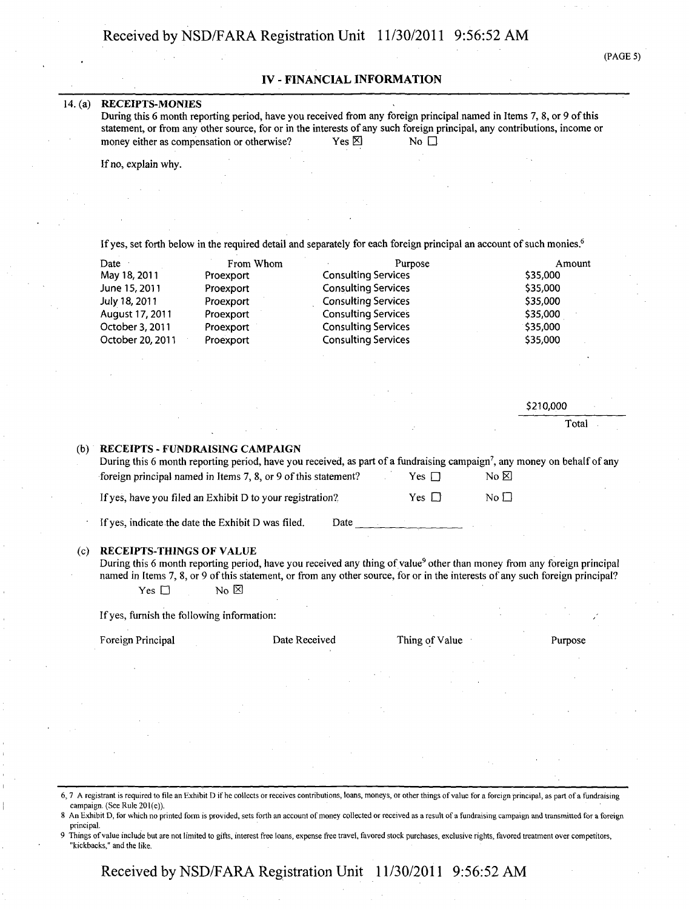(PAGE 5)

#### IV - FINANCIAL INFORMATION

#### 14. (a) RECEIPTS-MONIES

| During this 6 month reporting period, have you received from any foreign principal named in Items 7, 8, or 9 of this     |                 |                               |  |
|--------------------------------------------------------------------------------------------------------------------------|-----------------|-------------------------------|--|
| statement, or from any other source, for or in the interests of any such foreign principal, any contributions, income or |                 |                               |  |
| money either as compensation or otherwise?                                                                               | Yes $\boxtimes$ | $\overline{N}$ $\overline{C}$ |  |

If no, explain why.

If yes, set forth below in the required detail and separately for each foreign principal an account of such monies.<sup>6</sup>

| Date             | From Whom | Purpose                    | Amount   |
|------------------|-----------|----------------------------|----------|
| May 18, 2011     | Proexport | <b>Consulting Services</b> | \$35,000 |
| June 15, 2011    | Proexport | <b>Consulting Services</b> | \$35,000 |
| July 18, 2011    | Proexport | <b>Consulting Services</b> | \$35,000 |
| August 17, 2011  | Proexport | <b>Consulting Services</b> | \$35,000 |
| October 3, 2011  | Proexport | <b>Consulting Services</b> | 535,000  |
| October 20, 2011 | Proexport | <b>Consulting Services</b> | \$35,000 |

|   | \$210,000 |  |
|---|-----------|--|
| × | Total     |  |

| (b) RECEIPTS - FUNDRAISING CAMPAIGN                                                                                                  |            |             |
|--------------------------------------------------------------------------------------------------------------------------------------|------------|-------------|
| During this 6 month reporting period, have you received, as part of a fundraising campaign <sup>7</sup> , any money on behalf of any |            |             |
| foreign principal named in Items 7, 8, or 9 of this statement?                                                                       | Yes $\Box$ | No ⊠        |
| If yes, have you filed an Exhibit D to your registration?                                                                            | Yes $\Box$ | $No$ $\Box$ |

If yes, indicate the date the Exhibit D was filed. Date

#### (c) RECEIPTS-THINGS OF VALUE

During this 6 month reporting period, have you received any thing of value<sup>9</sup> other than money from any foreign principal named in Items 7, 8, or 9 of this statement, or from any other source, for or in the interests of any such foreign principal? Yes  $\square$  No  $\boxtimes$ 

Ifyes, furnish the following information:

Foreign Principal 2012 Date Received Thing of Value Purpose

6,7 A registrant is required to file an Exhibit D if he collects or receives contributions, loans, moneys, or other things ofvalue for a foreign principal, as part of a fundraising campaign. (See Rule 201(e)).

9 Things ofvalue include but are not limited to gifts, interest free loans, expense free travel, favored stock purchases, exclusive rights, favored treatment over competitors, "kickbacks," and the like.

<sup>8</sup> An Exhibit D, for which no printed form is provided, sets forth an account of money collected or received as a result of a fundraising campaign and transmitted for a foreign principal.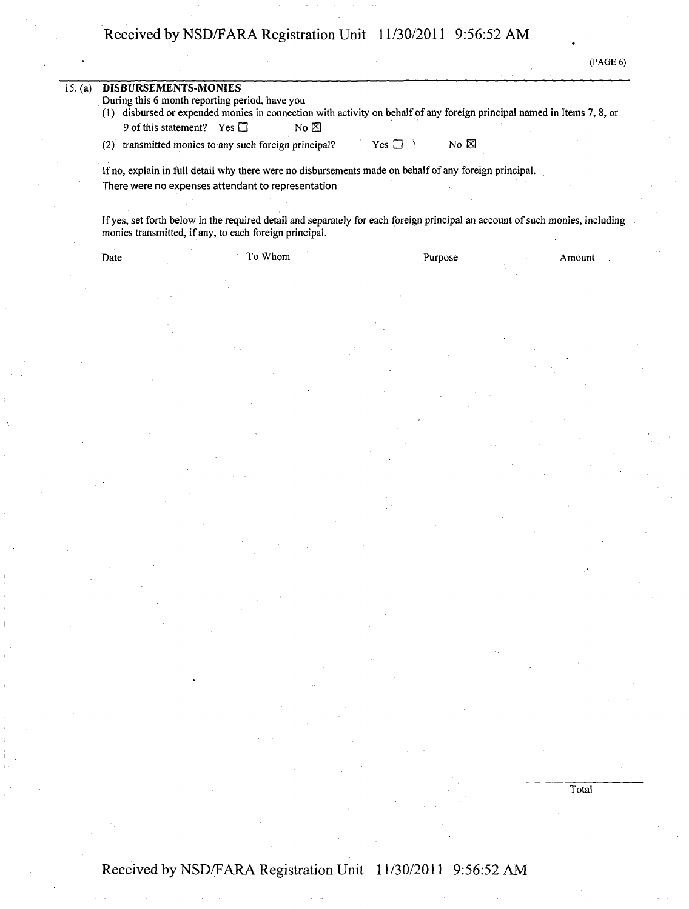(PAGE 6)

Total

| 15. (a) | <b>DISBURSEMENTS-MONIES</b><br>9 of this statement? Yes $\Box$ | During this 6 month reporting period, have you<br>(1) disbursed or expended monies in connection with activity on behalf of any foreign principal named in Items 7, 8, or<br>No E       |            |            |        |
|---------|----------------------------------------------------------------|-----------------------------------------------------------------------------------------------------------------------------------------------------------------------------------------|------------|------------|--------|
|         | (2)                                                            | transmitted monies to any such foreign principal?                                                                                                                                       | $Yes \top$ | $No \n&\n$ |        |
|         |                                                                | If no, explain in full detail why there were no disbursements made on behalf of any foreign principal.<br>There were no expenses attendant to representation                            |            |            |        |
|         |                                                                | If yes, set forth below in the required detail and separately for each foreign principal an account of such monies, including<br>monies transmitted, if any, to each foreign principal. |            |            |        |
|         | Date                                                           | To Whom                                                                                                                                                                                 | Purpose    |            | Amount |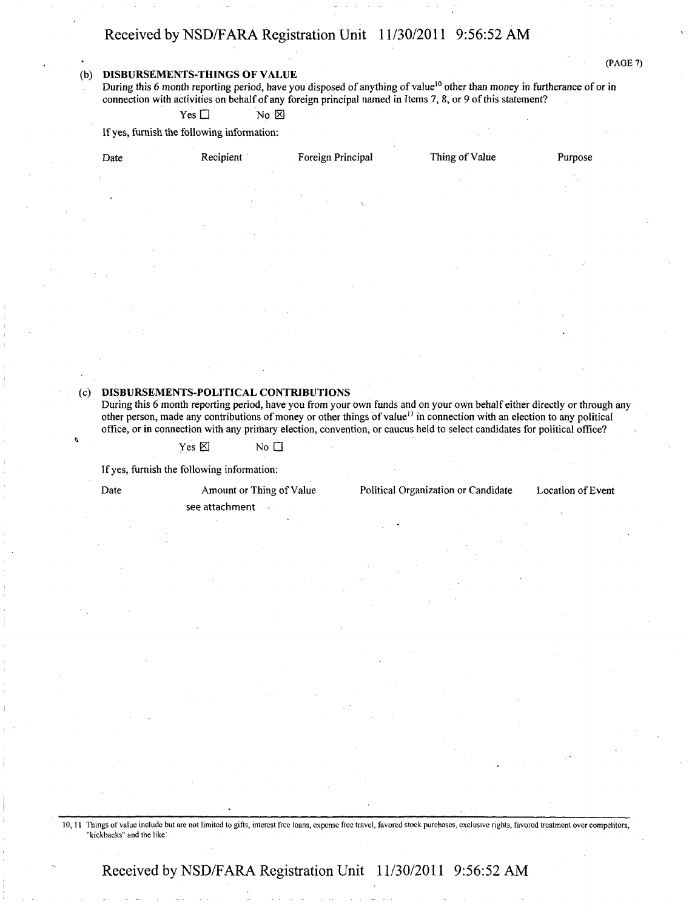(PAGE 7)

#### (b) DISBURSEMENTS-THINGS OF VALUE

During this 6 month reporting period, have you disposed of anything of value<sup>10</sup> other than money in furtherance of or in connection with activities on behalf of any foreign principal named in Items 7, 8, or 9 of this statement?

 $Yes \Box$  No  $\boxtimes$ 

If yes, furnish the following information:

Recipient Foreign Principal Thing of Value Purpose

#### (c) DISBURSEMENTS-POLITICAL CONTRIBUTIONS

During this 6 month reporting period, have you from your own funds and on your own behalf either directly or through any other person, made any contributions of money or other things of value<sup>11</sup> in connection with an election to any political office, or in connection with any primary election, convention, or caucus held to select candidates for political office?

 $Yes \boxtimes$  No  $\square$ 

If yes, furnish the following information:

see attachment

Date Amount or Thing of Value Political Organization or Candidate Location of Event

10,11 Things ofvalue include but are not limited to gifts, interest free loans, expense free travel, favored stock purchases, exclusive rights, favored treatment over competitors, "kickbacks" and the like.'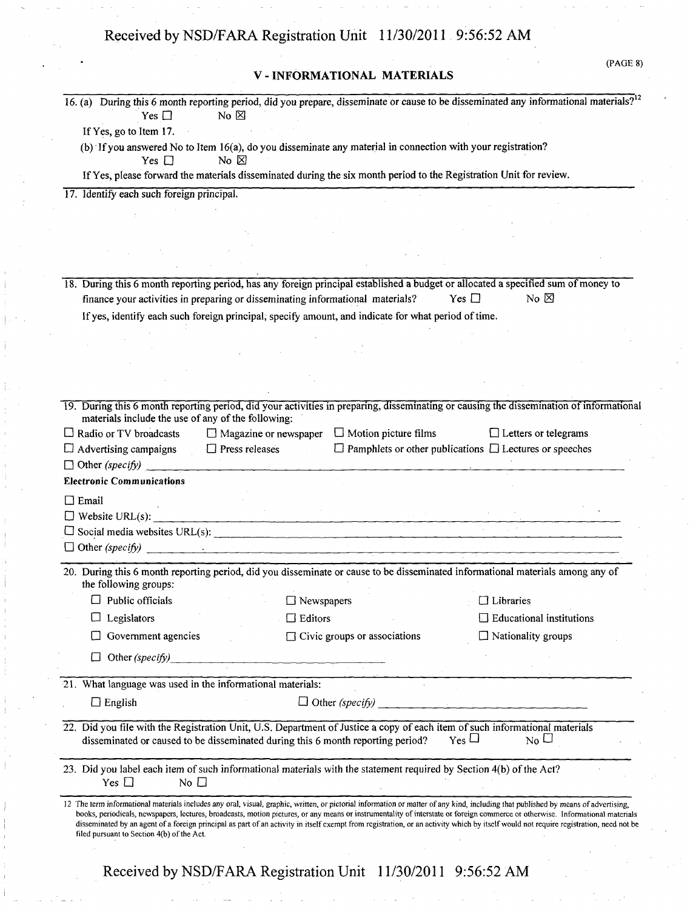|                                                                                            |                       | V-INFORMATIONAL MATERIALS                                                                                                                                                                                      | (PAGE 8)                                                                                                                                          |
|--------------------------------------------------------------------------------------------|-----------------------|----------------------------------------------------------------------------------------------------------------------------------------------------------------------------------------------------------------|---------------------------------------------------------------------------------------------------------------------------------------------------|
|                                                                                            |                       |                                                                                                                                                                                                                | 16. (a) During this 6 month reporting period, did you prepare, disseminate or cause to be disseminated any informational materials? <sup>12</sup> |
| Yes $\Box$                                                                                 | No $\boxtimes$        |                                                                                                                                                                                                                |                                                                                                                                                   |
| If Yes, go to Item 17.                                                                     |                       |                                                                                                                                                                                                                |                                                                                                                                                   |
| Yes $\Box$                                                                                 | No $\boxtimes$        | (b) If you answered No to Item 16(a), do you disseminate any material in connection with your registration?                                                                                                    |                                                                                                                                                   |
|                                                                                            |                       | If Yes, please forward the materials disseminated during the six month period to the Registration Unit for review.                                                                                             |                                                                                                                                                   |
| 17. Identify each such foreign principal.                                                  |                       |                                                                                                                                                                                                                |                                                                                                                                                   |
|                                                                                            |                       |                                                                                                                                                                                                                |                                                                                                                                                   |
|                                                                                            |                       |                                                                                                                                                                                                                |                                                                                                                                                   |
|                                                                                            |                       |                                                                                                                                                                                                                |                                                                                                                                                   |
|                                                                                            |                       |                                                                                                                                                                                                                |                                                                                                                                                   |
|                                                                                            |                       |                                                                                                                                                                                                                | 18. During this 6 month reporting period, has any foreign principal established a budget or allocated a specified sum of money to                 |
|                                                                                            |                       | finance your activities in preparing or disseminating informational materials?                                                                                                                                 | $No \boxtimes$<br>Yes $\Box$                                                                                                                      |
|                                                                                            |                       | If yes, identify each such foreign principal, specify amount, and indicate for what period of time.                                                                                                            |                                                                                                                                                   |
|                                                                                            |                       |                                                                                                                                                                                                                |                                                                                                                                                   |
|                                                                                            |                       |                                                                                                                                                                                                                |                                                                                                                                                   |
|                                                                                            |                       |                                                                                                                                                                                                                |                                                                                                                                                   |
|                                                                                            |                       |                                                                                                                                                                                                                |                                                                                                                                                   |
|                                                                                            |                       |                                                                                                                                                                                                                |                                                                                                                                                   |
|                                                                                            |                       |                                                                                                                                                                                                                |                                                                                                                                                   |
|                                                                                            |                       |                                                                                                                                                                                                                | 19. During this 6 month reporting period, did your activities in preparing, disseminating or causing the dissemination of informational           |
| materials include the use of any of the following:                                         |                       |                                                                                                                                                                                                                |                                                                                                                                                   |
| $\Box$ Radio or TV broadcasts                                                              |                       | $\Box$ Magazine or newspaper $\Box$ Motion picture films                                                                                                                                                       | $\Box$ Letters or telegrams                                                                                                                       |
|                                                                                            | $\Box$ Press releases |                                                                                                                                                                                                                | $\Box$ Pamphlets or other publications $\Box$ Lectures or speeches                                                                                |
| $\Box$ Advertising campaigns<br>$\Box$ Other (specify)<br><b>Electronic Communications</b> |                       |                                                                                                                                                                                                                |                                                                                                                                                   |
|                                                                                            |                       |                                                                                                                                                                                                                |                                                                                                                                                   |
| $\square$ Email                                                                            |                       |                                                                                                                                                                                                                |                                                                                                                                                   |
|                                                                                            |                       | $\Box$ Website URL(s):                                                                                                                                                                                         |                                                                                                                                                   |
|                                                                                            |                       | $\Box$ Social media websites URL(s):                                                                                                                                                                           |                                                                                                                                                   |
|                                                                                            |                       | $\Box$ Other (specify)                                                                                                                                                                                         |                                                                                                                                                   |
|                                                                                            |                       |                                                                                                                                                                                                                | 20. During this 6 month reporting period, did you disseminate or cause to be disseminated informational materials among any of                    |
| the following groups:                                                                      |                       |                                                                                                                                                                                                                |                                                                                                                                                   |
| $\Box$ Public officials                                                                    |                       | $\Box$ Newspapers                                                                                                                                                                                              | $\Box$ Libraries                                                                                                                                  |
| Legislators                                                                                |                       | $\Box$ Editors                                                                                                                                                                                                 | $\Box$ Educational institutions                                                                                                                   |
| Government agencies                                                                        |                       | $\Box$ Civic groups or associations                                                                                                                                                                            | $\Box$ Nationality groups                                                                                                                         |
| $\Box$ Other (specify)                                                                     |                       |                                                                                                                                                                                                                |                                                                                                                                                   |
|                                                                                            |                       |                                                                                                                                                                                                                |                                                                                                                                                   |
|                                                                                            |                       |                                                                                                                                                                                                                |                                                                                                                                                   |
| $\Box$ English                                                                             |                       |                                                                                                                                                                                                                | $\Box$ Other (specify)                                                                                                                            |
| 21. What language was used in the informational materials:                                 |                       | 22. Did you file with the Registration Unit, U.S. Department of Justice a copy of each item of such informational materials<br>disseminated or caused to be disseminated during this 6 month reporting period? | $Y_{\text{es}}\Box$<br>$N_0 \cup$                                                                                                                 |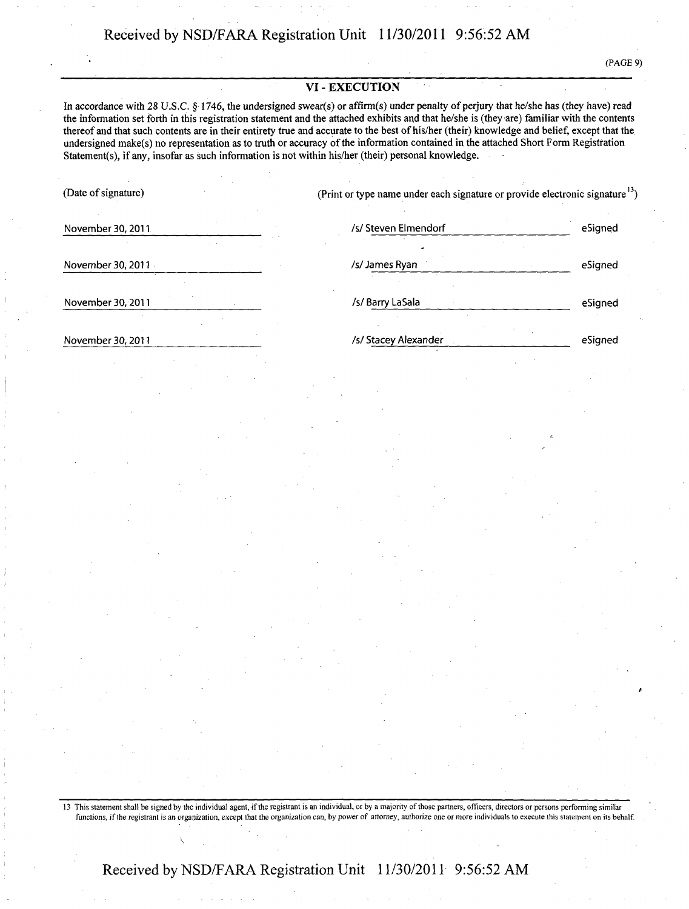(PAGE 9)

#### **VI - EXECUTION**

In accordance with 28 U.S.C. § 1746, the undersigned swear(s) or affirm(s) under penalty of perjury that he/she has (they have) read the information set forth in this registration statement and the attached exhibits and that he/she is (they are) familiar with the contents thereof and that such contents are in their entirety true and accurate to the best of his/her (their) knowledge and belief, except that the undersigned make(s) no representation as to truth or accuracy of the information contained in the attached Short Form Registration Statement(s), if any, insofar as such information is not within his/her (their) personal knowledge.

(Date of signature) (Print or type name under each signature or provide electronic signature <sup>13</sup>)

November 30, 2011 and the state of the steven Elmendorf and the Signed esigned esigned

November 30, 2011 ISL James Ryan Assember 30, 2011 ISL James Ryan Assember 30, 2011 ISL James Ryan Assember 30, 2011

November 30, 2011 . Isl Barry LaSala esigned the Signed School Barry LaSala esigned the Signed eSigned exists a set of the Signed School Barry LaSala

November 30, 2011 **Isl Stacey Alexander** Alexander esigned

13 This statement shall be signed by the individual agent, if the registrant is an individual, or by a majority of those partners, officers, directors or persons performing similar functions, if the registrant is an organization, except that the organization can, by power of attorney, authorize one or more individuals to execute this statement on its behalf.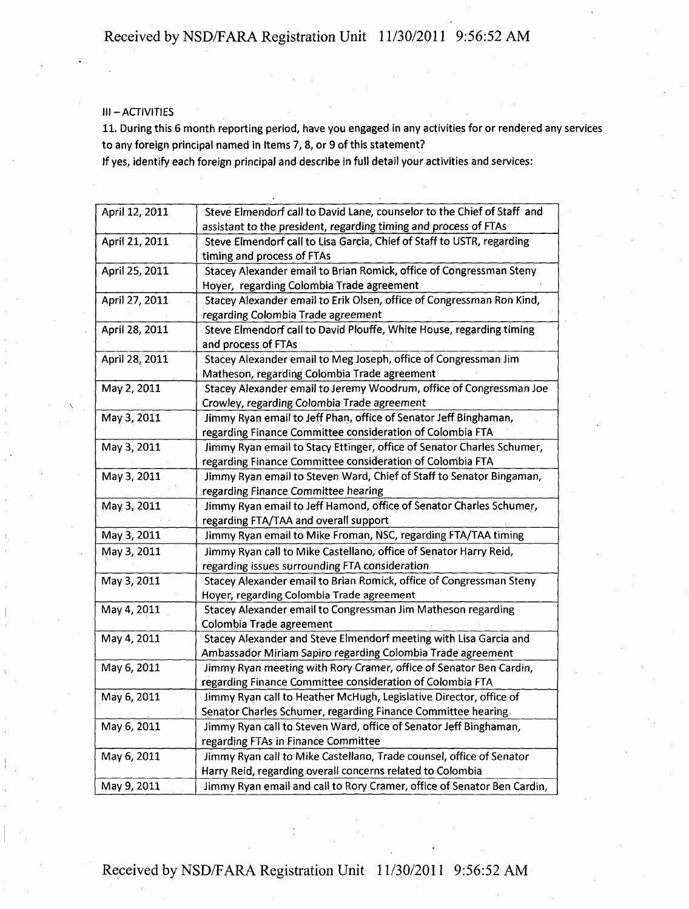### III-ACTIVITIES

11. During this 6 month reporting period, have you engaged in any activities for or rendered any services to any foreign principal named in Items 7, 8, or 9 of this statement?

If yes, identify each foreign principal and describe in full detail your activities and services:

| April 12, 2011 | Steve Elmendorf call to David Lane, counselor to the Chief of Staff and |
|----------------|-------------------------------------------------------------------------|
|                | assistant to the president, regarding timing and process of FTAs        |
| April 21, 2011 | Steve Elmendorf call to Lisa Garcia, Chief of Staff to USTR, regarding  |
|                | timing and process of FTAs                                              |
| April 25, 2011 | Stacey Alexander email to Brian Romick, office of Congressman Steny     |
|                | Hoyer, regarding Colombia Trade agreement                               |
| April 27, 2011 | Stacey Alexander email to Erik Olsen, office of Congressman Ron Kind,   |
|                | regarding Colombia Trade agreement                                      |
| April 28, 2011 | Steve Elmendorf call to David Plouffe, White House, regarding timing    |
|                | and process of FTAs                                                     |
| April 28, 2011 | Stacey Alexander email to Meg Joseph, office of Congressman Jim         |
|                | Matheson, regarding Colombia Trade agreement                            |
| May 2, 2011    | Stacey Alexander email to Jeremy Woodrum, office of Congressman Joe     |
|                | Crowley, regarding Colombia Trade agreement                             |
| May 3, 2011    | Jimmy Ryan email to Jeff Phan, office of Senator Jeff Binghaman,        |
|                | regarding Finance Committee consideration of Colombia FTA               |
| May 3, 2011    | Jimmy Ryan email to Stacy Ettinger, office of Senator Charles Schumer,  |
|                | regarding Finance Committee consideration of Colombia FTA               |
| May 3, 2011    | Jimmy Ryan email to Steven Ward, Chief of Staff to Senator Bingaman,    |
|                | regarding Finance Committee hearing                                     |
| May 3, 2011    | Jimmy Ryan email to Jeff Hamond, office of Senator Charles Schumer,     |
|                | regarding FTA/TAA and overall support                                   |
| May 3, 2011    | Jimmy Ryan email to Mike Froman, NSC, regarding FTA/TAA timing          |
| May 3, 2011    | Jimmy Ryan call to Mike Castellano, office of Senator Harry Reid,       |
|                | regarding issues surrounding FTA consideration                          |
| May 3, 2011    | Stacey Alexander email to Brian Romick, office of Congressman Steny     |
|                | Hoyer, regarding Colombia Trade agreement                               |
| May 4, 2011    | Stacey Alexander email to Congressman Jim Matheson regarding            |
|                | Colombia Trade agreement                                                |
| May 4, 2011    | Stacey Alexander and Steve Elmendorf meeting with Lisa Garcia and       |
|                | Ambassador Miriam Sapiro regarding Colombia Trade agreement             |
| May 6, 2011    | Jimmy Ryan meeting with Rory Cramer, office of Senator Ben Cardin,      |
|                | regarding Finance Committee consideration of Colombia FTA               |
| May 6, 2011    | Jimmy Ryan call to Heather McHugh, Legislative Director, office of      |
|                | Senator Charles Schumer, regarding Finance Committee hearing.           |
| May 6, 2011    | Jimmy Ryan call to Steven Ward, office of Senator Jeff Binghaman,       |
|                | regarding FTAs in Finance Committee                                     |
| May 6, 2011    | Jimmy Ryan call to Mike Castellano, Trade counsel, office of Senator    |
|                | Harry Reid, regarding overall concerns related to Colombia              |
| May 9, 2011    | Jimmy Ryan email and call to Rory Cramer, office of Senator Ben Cardin, |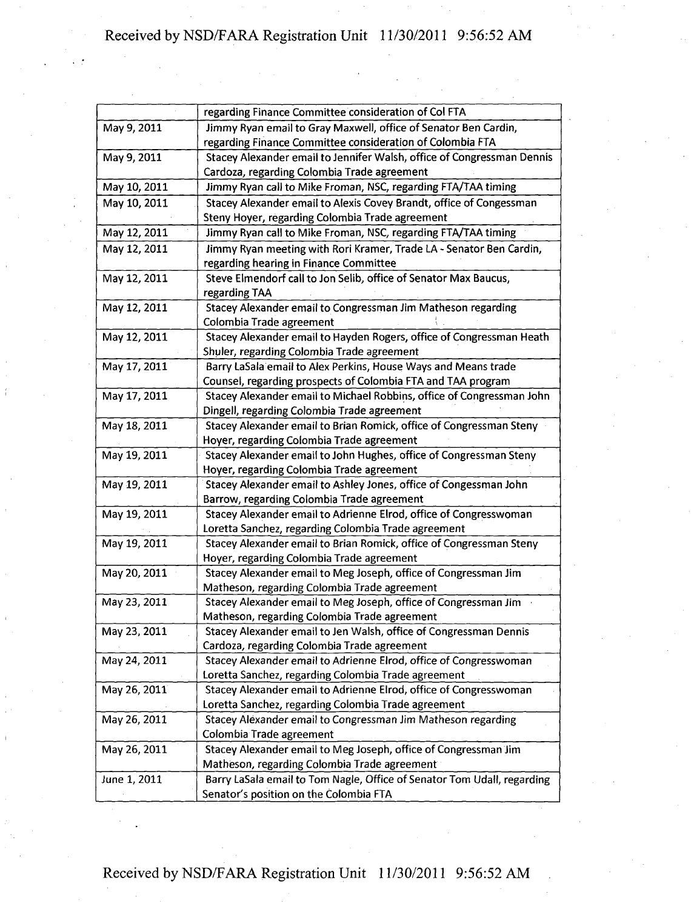|              | regarding Finance Committee consideration of Col FTA                    |
|--------------|-------------------------------------------------------------------------|
| May 9, 2011  | Jimmy Ryan email to Gray Maxwell, office of Senator Ben Cardin,         |
|              | regarding Finance Committee consideration of Colombia FTA               |
| May 9, 2011  | Stacey Alexander email to Jennifer Walsh, office of Congressman Dennis  |
|              | Cardoza, regarding Colombia Trade agreement                             |
| May 10, 2011 | Jimmy Ryan call to Mike Froman, NSC, regarding FTA/TAA timing           |
| May 10, 2011 | Stacey Alexander email to Alexis Covey Brandt, office of Congessman     |
|              | Steny Hoyer, regarding Colombia Trade agreement                         |
| May 12, 2011 | Jimmy Ryan call to Mike Froman, NSC, regarding FTA/TAA timing           |
| May 12, 2011 | Jimmy Ryan meeting with Rori Kramer, Trade LA - Senator Ben Cardin,     |
|              | regarding hearing in Finance Committee                                  |
| May 12, 2011 | Steve Elmendorf call to Jon Selib, office of Senator Max Baucus,        |
|              | regarding TAA                                                           |
| May 12, 2011 | Stacey Alexander email to Congressman Jim Matheson regarding            |
|              | Colombia Trade agreement                                                |
| May 12, 2011 | Stacey Alexander email to Hayden Rogers, office of Congressman Heath    |
|              | Shuler, regarding Colombia Trade agreement                              |
| May 17, 2011 | Barry LaSala email to Alex Perkins, House Ways and Means trade          |
|              | Counsel, regarding prospects of Colombia FTA and TAA program            |
| May 17, 2011 | Stacey Alexander email to Michael Robbins, office of Congressman John   |
|              | Dingell, regarding Colombia Trade agreement                             |
| May 18, 2011 | Stacey Alexander email to Brian Romick, office of Congressman Steny     |
|              | Hoyer, regarding Colombia Trade agreement                               |
| May 19, 2011 | Stacey Alexander email to John Hughes, office of Congressman Steny      |
|              | Hoyer, regarding Colombia Trade agreement                               |
| May 19, 2011 | Stacey Alexander email to Ashley Jones, office of Congessman John       |
|              | Barrow, regarding Colombia Trade agreement                              |
| May 19, 2011 | Stacey Alexander email to Adrienne Elrod, office of Congresswoman       |
|              | Loretta Sanchez, regarding Colombia Trade agreement                     |
| May 19, 2011 | Stacey Alexander email to Brian Romick, office of Congressman Steny     |
|              | Hoyer, regarding Colombia Trade agreement                               |
| May 20, 2011 | Stacey Alexander email to Meg Joseph, office of Congressman Jim         |
|              | Matheson, regarding Colombia Trade agreement                            |
| May 23, 2011 | Stacey Alexander email to Meg Joseph, office of Congressman Jim         |
|              | Matheson, regarding Colombia Trade agreement                            |
| May 23, 2011 | Stacey Alexander email to Jen Walsh, office of Congressman Dennis       |
|              | Cardoza, regarding Colombia Trade agreement                             |
| May 24, 2011 | Stacey Alexander email to Adrienne Elrod, office of Congresswoman       |
|              | Loretta Sanchez, regarding Colombia Trade agreement                     |
| May 26, 2011 | Stacey Alexander email to Adrienne Elrod, office of Congresswoman       |
|              | Loretta Sanchez, regarding Colombia Trade agreement                     |
| May 26, 2011 | Stacey Alexander email to Congressman Jim Matheson regarding            |
|              | Colombia Trade agreement                                                |
| May 26, 2011 | Stacey Alexander email to Meg Joseph, office of Congressman Jim         |
|              | Matheson, regarding Colombia Trade agreement                            |
| June 1, 2011 | Barry LaSala email to Tom Nagle, Office of Senator Tom Udall, regarding |
|              | Senator's position on the Colombia FTA                                  |
|              |                                                                         |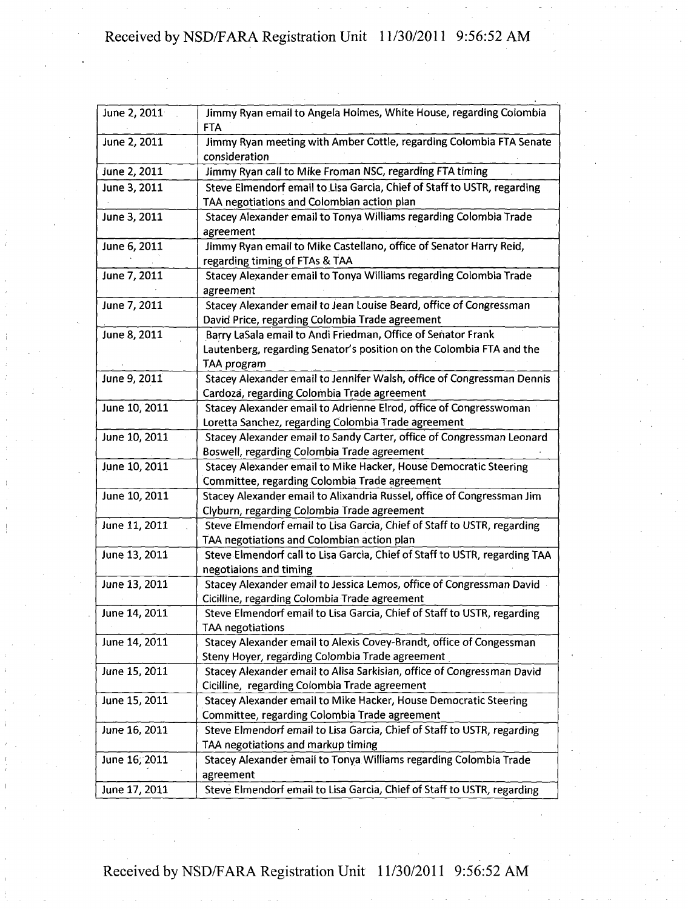| June 2, 2011  | Jimmy Ryan email to Angela Holmes, White House, regarding Colombia<br><b>FTA</b>                                                                    |
|---------------|-----------------------------------------------------------------------------------------------------------------------------------------------------|
| June 2, 2011  | Jimmy Ryan meeting with Amber Cottle, regarding Colombia FTA Senate<br>consideration                                                                |
| June 2, 2011  | Jimmy Ryan call to Mike Froman NSC, regarding FTA timing                                                                                            |
| June 3, 2011  | Steve Elmendorf email to Lisa Garcia, Chief of Staff to USTR, regarding<br>TAA negotiations and Colombian action plan                               |
| June 3, 2011  | Stacey Alexander email to Tonya Williams regarding Colombia Trade<br>agreement                                                                      |
| June 6, 2011  | Jimmy Ryan email to Mike Castellano, office of Senator Harry Reid,<br>regarding timing of FTAs & TAA                                                |
| June 7, 2011  | Stacey Alexander email to Tonya Williams regarding Colombia Trade<br>agreement                                                                      |
| June 7, 2011  | Stacey Alexander email to Jean Louise Beard, office of Congressman<br>David Price, regarding Colombia Trade agreement                               |
| June 8, 2011  | Barry LaSala email to Andi Friedman, Office of Senator Frank<br>Lautenberg, regarding Senator's position on the Colombia FTA and the<br>TAA program |
| June 9, 2011  | Stacey Alexander email to Jennifer Walsh, office of Congressman Dennis<br>Cardoza, regarding Colombia Trade agreement                               |
| June 10, 2011 | Stacey Alexander email to Adrienne Elrod, office of Congresswoman<br>Loretta Sanchez, regarding Colombia Trade agreement                            |
| June 10, 2011 | Stacey Alexander email to Sandy Carter, office of Congressman Leonard<br>Boswell, regarding Colombia Trade agreement                                |
| June 10, 2011 | Stacey Alexander email to Mike Hacker, House Democratic Steering<br>Committee, regarding Colombia Trade agreement                                   |
| June 10, 2011 | Stacey Alexander email to Alixandria Russel, office of Congressman Jim<br>Clyburn, regarding Colombia Trade agreement                               |
| June 11, 2011 | Steve Elmendorf email to Lisa Garcia, Chief of Staff to USTR, regarding<br>TAA negotiations and Colombian action plan                               |
| June 13, 2011 | Steve Elmendorf call to Lisa Garcia, Chief of Staff to USTR, regarding TAA<br>negotiaions and timing                                                |
| June 13, 2011 | Stacey Alexander email to Jessica Lemos, office of Congressman David<br>Cicilline, regarding Colombia Trade agreement                               |
| June 14, 2011 | Steve Elmendorf email to Lisa Garcia, Chief of Staff to USTR, regarding<br><b>TAA negotiations</b>                                                  |
| June 14, 2011 | Stacey Alexander email to Alexis Covey-Brandt, office of Congessman<br>Steny Hoyer, regarding Colombia Trade agreement                              |
| June 15, 2011 | Stacey Alexander email to Alisa Sarkisian, office of Congressman David<br>Cicilline, regarding Colombia Trade agreement                             |
| June 15, 2011 | Stacey Alexander email to Mike Hacker, House Democratic Steering<br>Committee, regarding Colombia Trade agreement                                   |
| June 16, 2011 | Steve Elmendorf email to Lisa Garcia, Chief of Staff to USTR, regarding<br>TAA negotiations and markup timing                                       |
| June 16; 2011 | Stacey Alexander email to Tonya Williams regarding Colombia Trade<br>agreement                                                                      |
| June 17, 2011 | Steve Elmendorf email to Lisa Garcia, Chief of Staff to USTR, regarding                                                                             |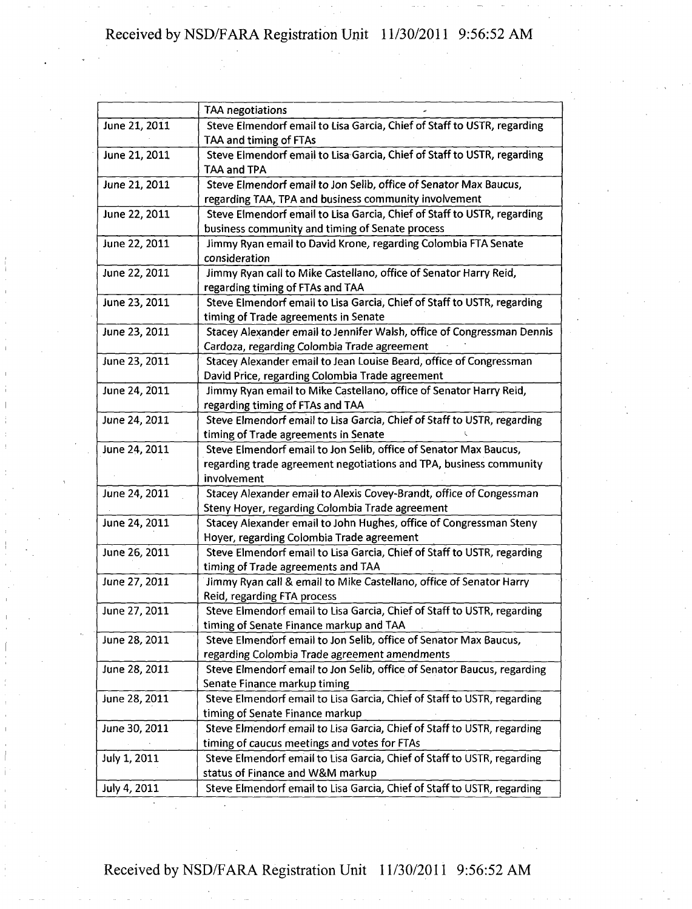| TAA negotiations                                                                                                                                       |  |  |  |
|--------------------------------------------------------------------------------------------------------------------------------------------------------|--|--|--|
| Steve Elmendorf email to Lisa Garcia, Chief of Staff to USTR, regarding<br>TAA and timing of FTAs                                                      |  |  |  |
| Steve Elmendorf email to Lisa Garcia, Chief of Staff to USTR, regarding<br>TAA and TPA                                                                 |  |  |  |
| Steve Elmendorf email to Jon Selib, office of Senator Max Baucus,<br>regarding TAA, TPA and business community involvement                             |  |  |  |
| Steve Elmendorf email to Lisa Garcia, Chief of Staff to USTR, regarding<br>business community and timing of Senate process                             |  |  |  |
| Jimmy Ryan email to David Krone, regarding Colombia FTA Senate<br>consideration                                                                        |  |  |  |
| Jimmy Ryan call to Mike Castellano, office of Senator Harry Reid,<br>regarding timing of FTAs and TAA                                                  |  |  |  |
| Steve Elmendorf email to Lisa Garcia, Chief of Staff to USTR, regarding<br>timing of Trade agreements in Senate                                        |  |  |  |
| Stacey Alexander email to Jennifer Walsh, office of Congressman Dennis<br>Cardoza, regarding Colombia Trade agreement                                  |  |  |  |
| Stacey Alexander email to Jean Louise Beard, office of Congressman<br>David Price, regarding Colombia Trade agreement                                  |  |  |  |
| Jimmy Ryan email to Mike Castellano, office of Senator Harry Reid,<br>regarding timing of FTAs and TAA                                                 |  |  |  |
| Steve Elmendorf email to Lisa Garcia, Chief of Staff to USTR, regarding<br>timing of Trade agreements in Senate                                        |  |  |  |
| Steve Elmendorf email to Jon Selib, office of Senator Max Baucus,<br>regarding trade agreement negotiations and TPA, business community<br>involvement |  |  |  |
| Stacey Alexander email to Alexis Covey-Brandt, office of Congessman<br>Steny Hoyer, regarding Colombia Trade agreement                                 |  |  |  |
| Stacey Alexander email to John Hughes, office of Congressman Steny<br>Hoyer, regarding Colombia Trade agreement                                        |  |  |  |
| Steve Elmendorf email to Lisa Garcia, Chief of Staff to USTR, regarding<br>timing of Trade agreements and TAA                                          |  |  |  |
| Jimmy Ryan call & email to Mike Castellano, office of Senator Harry<br>Reid, regarding FTA process                                                     |  |  |  |
| Steve Elmendorf email to Lisa Garcia, Chief of Staff to USTR, regarding<br>timing of Senate Finance markup and TAA                                     |  |  |  |
| Steve Elmendorf email to Jon Selib, office of Senator Max Baucus,<br>regarding Colombia Trade agreement amendments                                     |  |  |  |
| Steve Elmendorf email to Jon Selib, office of Senator Baucus, regarding<br>Senate Finance markup timing                                                |  |  |  |
| Steve Elmendorf email to Lisa Garcia, Chief of Staff to USTR, regarding<br>timing of Senate Finance markup                                             |  |  |  |
| Steve Elmendorf email to Lisa Garcia, Chief of Staff to USTR, regarding<br>timing of caucus meetings and votes for FTAs                                |  |  |  |
| Steve Elmendorf email to Lisa Garcia, Chief of Staff to USTR, regarding<br>status of Finance and W&M markup                                            |  |  |  |
| Steve Elmendorf email to Lisa Garcia, Chief of Staff to USTR, regarding                                                                                |  |  |  |
|                                                                                                                                                        |  |  |  |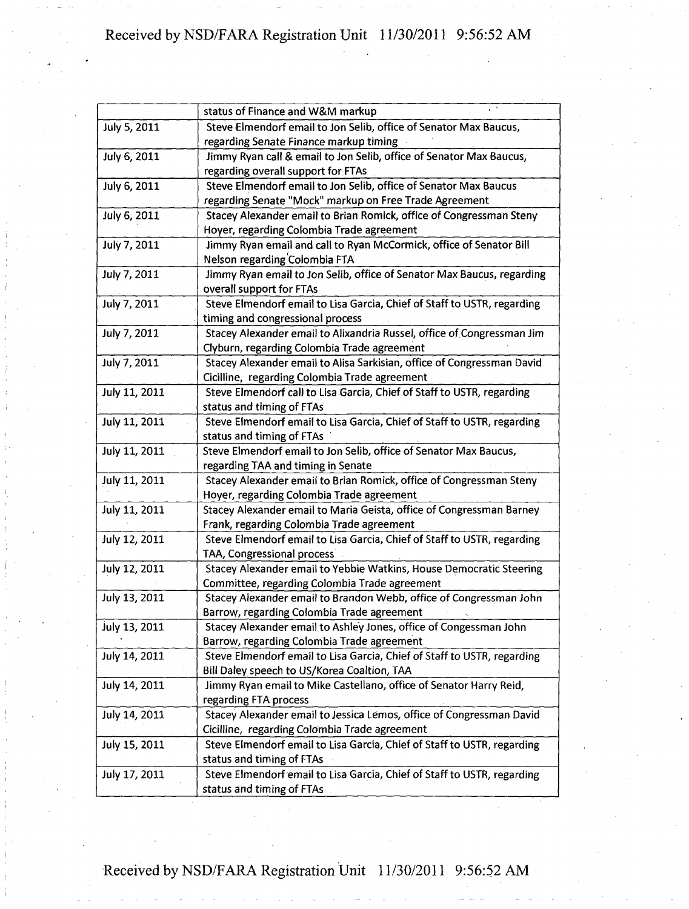|               | status of Finance and W&M markup                                        |
|---------------|-------------------------------------------------------------------------|
| July 5, 2011  | Steve Elmendorf email to Jon Selib, office of Senator Max Baucus,       |
|               | regarding Senate Finance markup timing                                  |
| July 6, 2011  | Jimmy Ryan call & email to Jon Selib, office of Senator Max Baucus,     |
|               | regarding overall support for FTAs                                      |
| July 6, 2011  | Steve Elmendorf email to Jon Selib, office of Senator Max Baucus        |
|               | regarding Senate "Mock" markup on Free Trade Agreement                  |
| July 6, 2011  | Stacey Alexander email to Brian Romick, office of Congressman Steny     |
|               | Hoyer, regarding Colombia Trade agreement                               |
| July 7, 2011  | Jimmy Ryan email and call to Ryan McCormick, office of Senator Bill     |
|               | Nelson regarding Colombia FTA                                           |
| July 7, 2011  | Jimmy Ryan email to Jon Selib, office of Senator Max Baucus, regarding  |
|               | overall support for FTAs                                                |
| July 7, 2011  | Steve Elmendorf email to Lisa Garcia, Chief of Staff to USTR, regarding |
|               | timing and congressional process                                        |
| July 7, 2011  | Stacey Alexander email to Alixandria Russel, office of Congressman Jim  |
|               | Clyburn, regarding Colombia Trade agreement                             |
| July 7, 2011  | Stacey Alexander email to Alisa Sarkisian, office of Congressman David  |
|               | Cicilline, regarding Colombia Trade agreement                           |
| July 11, 2011 | Steve Elmendorf call to Lisa Garcia, Chief of Staff to USTR, regarding  |
|               | status and timing of FTAs                                               |
| July 11, 2011 | Steve Elmendorf email to Lisa Garcia, Chief of Staff to USTR, regarding |
|               | status and timing of FTAs                                               |
| July 11, 2011 | Steve Elmendorf email to Jon Selib, office of Senator Max Baucus,       |
|               | regarding TAA and timing in Senate                                      |
| July 11, 2011 | Stacey Alexander email to Brian Romick, office of Congressman Steny     |
|               | Hoyer, regarding Colombia Trade agreement                               |
| July 11, 2011 | Stacey Alexander email to Maria Geista, office of Congressman Barney    |
|               | Frank, regarding Colombia Trade agreement                               |
| July 12, 2011 | Steve Elmendorf email to Lisa Garcia, Chief of Staff to USTR, regarding |
|               | TAA, Congressional process                                              |
| July 12, 2011 | Stacey Alexander email to Yebbie Watkins, House Democratic Steering     |
|               | Committee, regarding Colombia Trade agreement                           |
| July 13, 2011 | Stacey Alexander email to Brandon Webb, office of Congressman John      |
|               | Barrow, regarding Colombia Trade agreement                              |
| July 13, 2011 | Stacey Alexander email to Ashley Jones, office of Congessman John       |
|               | Barrow, regarding Colombia Trade agreement                              |
| July 14, 2011 | Steve Elmendorf email to Lisa Garcia, Chief of Staff to USTR, regarding |
|               | Bill Daley speech to US/Korea Coaltion, TAA                             |
| July 14, 2011 | Jimmy Ryan email to Mike Castellano, office of Senator Harry Reid,      |
|               | regarding FTA process                                                   |
| July 14, 2011 | Stacey Alexander email to Jessica Lemos, office of Congressman David    |
|               | Cicilline, regarding Colombia Trade agreement                           |
| July 15, 2011 | Steve Elmendorf email to Lisa Garcia, Chief of Staff to USTR, regarding |
|               | status and timing of FTAs                                               |
| July 17, 2011 | Steve Elmendorf email to Lisa Garcia, Chief of Staff to USTR, regarding |
|               | status and timing of FTAs                                               |
|               |                                                                         |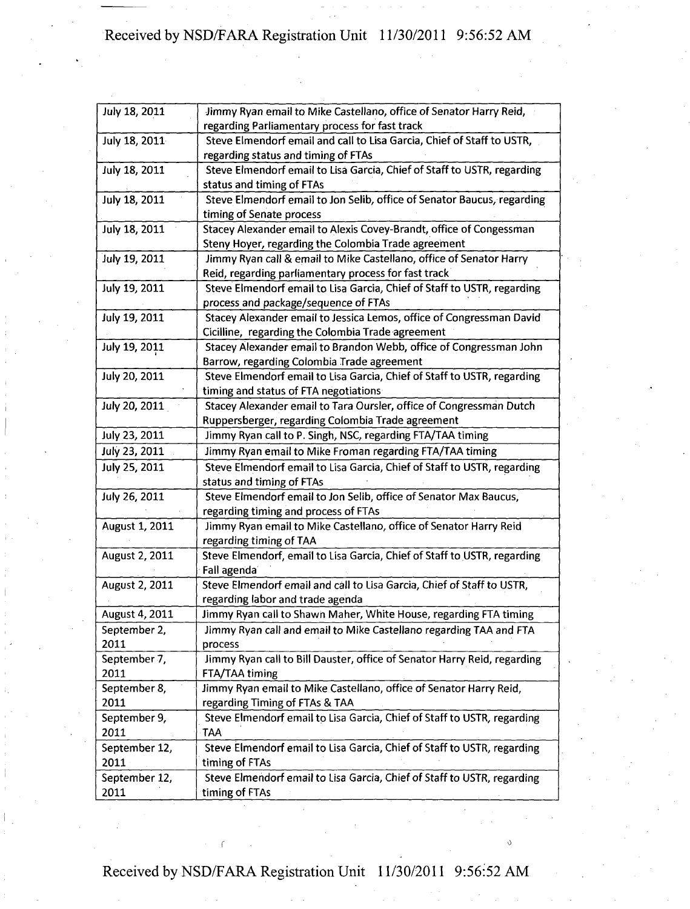| July 18, 2011  | Jimmy Ryan email to Mike Castellano, office of Senator Harry Reid,<br>regarding Parliamentary process for fast track |
|----------------|----------------------------------------------------------------------------------------------------------------------|
| July 18, 2011  | Steve Elmendorf email and call to Lisa Garcia, Chief of Staff to USTR,                                               |
|                | regarding status and timing of FTAs                                                                                  |
| July 18, 2011  | Steve Elmendorf email to Lisa Garcia, Chief of Staff to USTR, regarding                                              |
|                | status and timing of FTAs                                                                                            |
| July 18, 2011  | Steve Elmendorf email to Jon Selib, office of Senator Baucus, regarding                                              |
|                | timing of Senate process                                                                                             |
| July 18, 2011  | Stacey Alexander email to Alexis Covey-Brandt, office of Congessman                                                  |
|                | Steny Hoyer, regarding the Colombia Trade agreement                                                                  |
| July 19, 2011  | Jimmy Ryan call & email to Mike Castellano, office of Senator Harry                                                  |
|                | Reid, regarding parliamentary process for fast track                                                                 |
| July 19, 2011  | Steve Elmendorf email to Lisa Garcia, Chief of Staff to USTR, regarding                                              |
|                | process and package/sequence of FTAs                                                                                 |
| July 19, 2011  | Stacey Alexander email to Jessica Lemos, office of Congressman David                                                 |
|                | Cicilline, regarding the Colombia Trade agreement                                                                    |
| July 19, 2011  | Stacey Alexander email to Brandon Webb, office of Congressman John                                                   |
|                | Barrow, regarding Colombia Trade agreement                                                                           |
| July 20, 2011  | Steve Elmendorf email to Lisa Garcia, Chief of Staff to USTR, regarding                                              |
|                | timing and status of FTA negotiations                                                                                |
| July 20, 2011  | Stacey Alexander email to Tara Oursler, office of Congressman Dutch                                                  |
|                | Ruppersberger, regarding Colombia Trade agreement                                                                    |
| July 23, 2011  | Jimmy Ryan call to P. Singh, NSC, regarding FTA/TAA timing                                                           |
| July 23, 2011  | Jimmy Ryan email to Mike Froman regarding FTA/TAA timing                                                             |
| July 25, 2011  | Steve Elmendorf email to Lisa Garcia, Chief of Staff to USTR, regarding                                              |
|                | status and timing of FTAs                                                                                            |
| July 26, 2011  | Steve Elmendorf email to Jon Selib, office of Senator Max Baucus,                                                    |
|                | regarding timing and process of FTAs                                                                                 |
| August 1, 2011 | Jimmy Ryan email to Mike Castellano, office of Senator Harry Reid                                                    |
|                | regarding timing of TAA                                                                                              |
| August 2, 2011 | Steve Elmendorf, email to Lisa Garcia, Chief of Staff to USTR, regarding                                             |
|                | Fall agenda                                                                                                          |
| August 2, 2011 | Steve Elmendorf email and call to Lisa Garcia, Chief of Staff to USTR,                                               |
|                | regarding labor and trade agenda                                                                                     |
| August 4, 2011 | Jimmy Ryan call to Shawn Maher, White House, regarding FTA timing                                                    |
| September 2,   | Jimmy Ryan call and email to Mike Castellano regarding TAA and FTA                                                   |
| 2011           | process                                                                                                              |
| September 7,   | Jimmy Ryan call to Bill Dauster, office of Senator Harry Reid, regarding                                             |
| 2011           | FTA/TAA timing                                                                                                       |
| September 8,   | Jimmy Ryan email to Mike Castellano, office of Senator Harry Reid,                                                   |
| 2011           | regarding Timing of FTAs & TAA                                                                                       |
| September 9,   | Steve Elmendorf email to Lisa Garcia, Chief of Staff to USTR, regarding                                              |
| 2011           | <b>TAA</b>                                                                                                           |
| September 12,  | Steve Elmendorf email to Lisa Garcia, Chief of Staff to USTR, regarding                                              |
| 2011           | timing of FTAs                                                                                                       |
| September 12,  | Steve Elmendorf email to Lisa Garcia, Chief of Staff to USTR, regarding                                              |
| 2011           | timing of FTAs                                                                                                       |
|                |                                                                                                                      |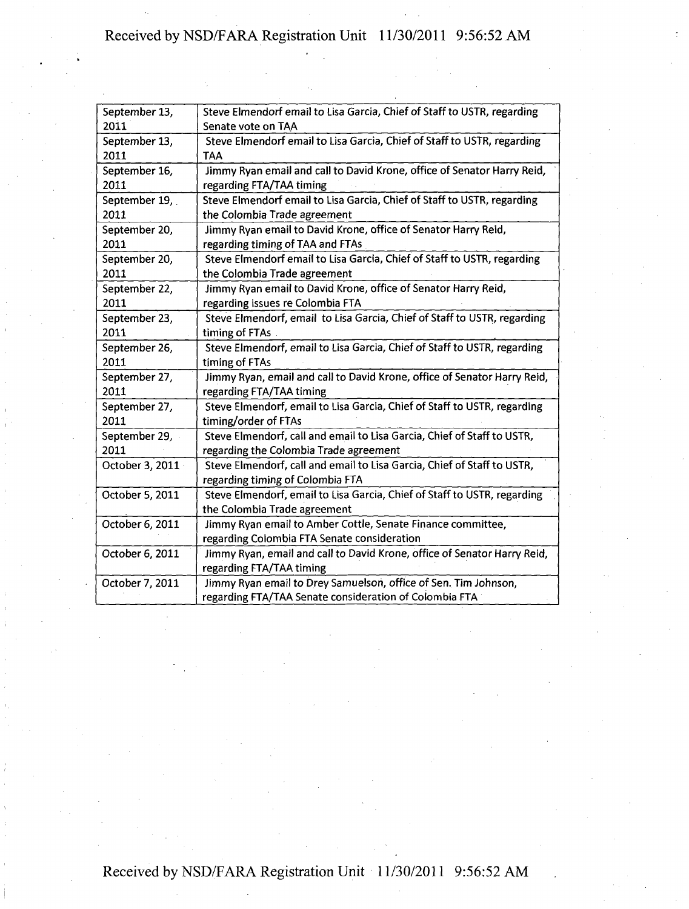| September 13,   | Steve Elmendorf email to Lisa Garcia, Chief of Staff to USTR, regarding  |
|-----------------|--------------------------------------------------------------------------|
| 2011            | Senate vote on TAA                                                       |
| September 13,   | Steve Elmendorf email to Lisa Garcia, Chief of Staff to USTR, regarding  |
| 2011            | TAA                                                                      |
| September 16,   | Jimmy Ryan email and call to David Krone, office of Senator Harry Reid,  |
| 2011            | regarding FTA/TAA timing                                                 |
| September 19,   | Steve Elmendorf email to Lisa Garcia, Chief of Staff to USTR, regarding  |
| 2011            | the Colombia Trade agreement                                             |
| September 20,   | Jimmy Ryan email to David Krone, office of Senator Harry Reid,           |
| 2011            | regarding timing of TAA and FTAs                                         |
| September 20,   | Steve Elmendorf email to Lisa Garcia, Chief of Staff to USTR, regarding  |
| 2011            | the Colombia Trade agreement                                             |
| September 22,   | Jimmy Ryan email to David Krone, office of Senator Harry Reid,           |
| 2011            | regarding issues re Colombia FTA                                         |
| September 23,   | Steve Elmendorf, email to Lisa Garcia, Chief of Staff to USTR, regarding |
| 2011            | timing of FTAs                                                           |
| September 26,   | Steve Elmendorf, email to Lisa Garcia, Chief of Staff to USTR, regarding |
| 2011            | timing of FTAs                                                           |
| September 27,   | Jimmy Ryan, email and call to David Krone, office of Senator Harry Reid, |
| 2011            | regarding FTA/TAA timing                                                 |
| September 27,   | Steve Elmendorf, email to Lisa Garcia, Chief of Staff to USTR, regarding |
| 2011            | timing/order of FTAs                                                     |
| September 29,   | Steve Elmendorf, call and email to Lisa Garcia, Chief of Staff to USTR,  |
| 2011            | regarding the Colombia Trade agreement                                   |
| October 3, 2011 | Steve Elmendorf, call and email to Lisa Garcia, Chief of Staff to USTR,  |
|                 | regarding timing of Colombia FTA                                         |
| October 5, 2011 | Steve Elmendorf, email to Lisa Garcia, Chief of Staff to USTR, regarding |
|                 | the Colombia Trade agreement                                             |
| October 6, 2011 | Jimmy Ryan email to Amber Cottle, Senate Finance committee,              |
|                 | regarding Colombia FTA Senate consideration                              |
| October 6, 2011 | Jimmy Ryan, email and call to David Krone, office of Senator Harry Reid, |
|                 | regarding FTA/TAA timing                                                 |
| October 7, 2011 | Jimmy Ryan email to Drey Samuelson, office of Sen. Tim Johnson,          |
|                 | regarding FTA/TAA Senate consideration of Colombia FTA                   |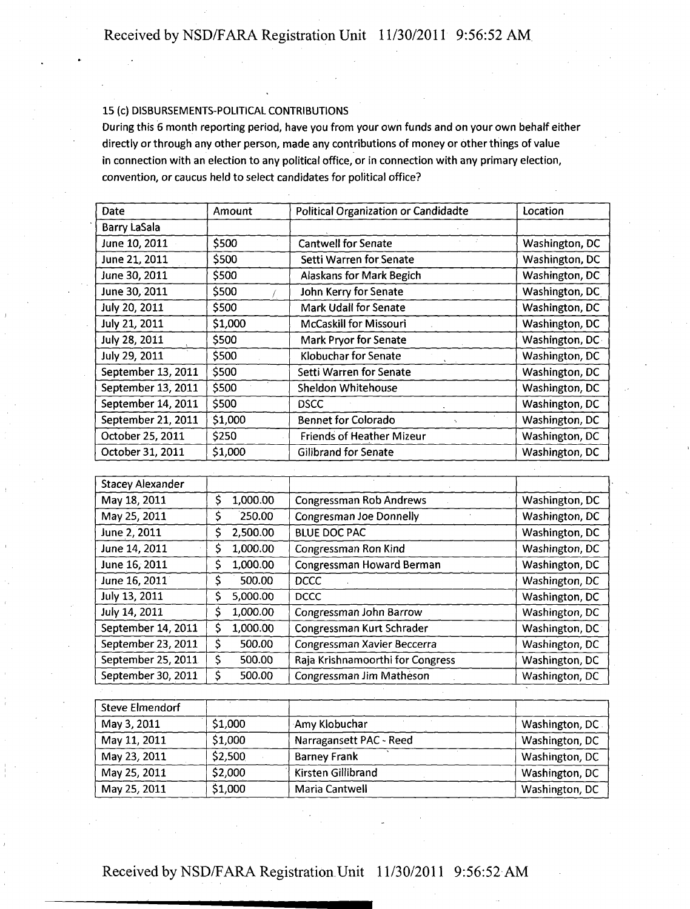#### 15 (c) DISBURSEMENTS-POLITICAL CONTRIBUTIONS

During this 6 month reporting period, have you from your own funds and on your own behalf either directly or through any other person, made any contributions of money or other things of value in connection with an election to any political office, or in connection with any primary election, convention, or caucus held to select candidates for political office?

| Date                | Amount  | <b>Political Organization or Candidadte</b> | Location        |
|---------------------|---------|---------------------------------------------|-----------------|
| <b>Barry LaSala</b> |         |                                             |                 |
| June 10, 2011       | \$500   | <b>Cantwell for Senate</b>                  | Washington, DC  |
| June 21, 2011       | \$500   | Setti Warren for Senate                     | Washington, DC  |
| June 30, 2011       | \$500   | <b>Alaskans for Mark Begich</b>             | Washington, DC  |
| June 30, 2011       | \$500   | John Kerry for Senate                       | Washington, DC  |
| July 20, 2011       | \$500   | <b>Mark Udall for Senate</b>                | Washington, DC  |
| July 21, 2011       | \$1,000 | <b>McCaskill for Missouri</b>               | Washington, DC  |
| July 28, 2011       | \$500   | <b>Mark Pryor for Senate</b>                | Washington, DC- |
| July 29, 2011       | \$500   | Klobuchar for Senate                        | Washington, DC  |
| September 13, 2011  | \$500   | Setti Warren for Senate                     | Washington, DC  |
| September 13, 2011  | \$500   | Sheldon Whitehouse                          | Washington, DC  |
| September 14, 2011  | \$500   | <b>DSCC</b>                                 | Washington, DC  |
| September 21, 2011  | \$1,000 | <b>Bennet for Colorado</b>                  | Washington, DC  |
| October 25, 2011    | \$250   | <b>Friends of Heather Mizeur</b>            | Washington, DC  |
| October 31, 2011    | \$1,000 | Gilibrand for Senate                        | Washington, DC  |

| <b>Stacey Alexander</b> |   |          |                                  |                |
|-------------------------|---|----------|----------------------------------|----------------|
| May 18, 2011            | s | 1,000.00 | <b>Congressman Rob Andrews</b>   | Washington, DC |
| May 25, 2011            |   | 250.00   | <b>Congresman Joe Donnelly</b>   | Washington, DC |
| June 2, 2011            | s | 2,500.00 | <b>BLUE DOC PAC</b>              | Washington, DC |
| June 14, 2011           |   | 1,000.00 | Congressman Ron Kind             | Washington, DC |
| June 16, 2011           |   | 1,000.00 | Congressman Howard Berman        | Washington, DC |
| June 16, 2011           | S | 500.00   | <b>DCCC</b>                      | Washington, DC |
| July 13, 2011           |   | 5,000.00 | <b>DCCC</b>                      | Washington, DC |
| July 14, 2011           |   | 1,000.00 | Congressman John Barrow          | Washington, DC |
| September 14, 2011      |   | 1,000.00 | Congressman Kurt Schrader        | Washington, DC |
| September 23, 2011      | S | 500.00   | Congressman Xavier Beccerra      | Washington, DC |
| September 25, 2011      | S | 500.00   | Raja Krishnamoorthi for Congress | Washington, DC |
| September 30, 2011      |   | 500.00   | Congressman Jim Matheson         | Washington, DC |

| <b>Steve Elmendorf</b> |         |                         |                 |
|------------------------|---------|-------------------------|-----------------|
| May 3, 2011            | \$1,000 | Amy Klobuchar           | Washington, DC. |
| May 11, 2011           | \$1,000 | Narragansett PAC - Reed | Washington, DC  |
| May 23, 2011           | \$2,500 | <b>Barney Frank</b>     | Washington, DC  |
| May 25, 2011           | \$2,000 | Kirsten Gillibrand      | Washington, DC  |
| May 25, 2011           | \$1,000 | Maria Cantwell          | Washington, DC  |